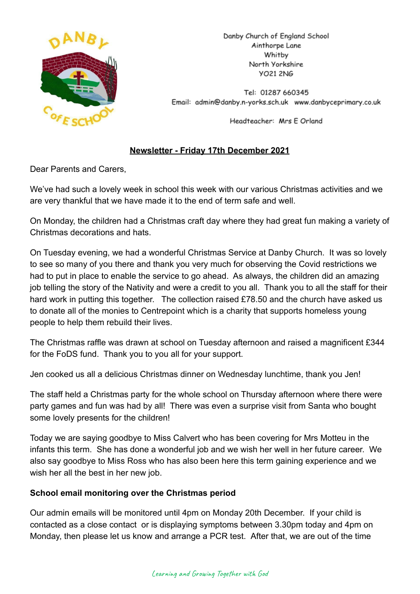

Danby Church of England School Ainthorpe Lane Whitby North Yorkshire **YO21 2NG** 

Tel: 01287 660345 Email: admin@danby.n-yorks.sch.uk www.danbyceprimary.co.uk

Headteacher: Mrs E Orland

# **Newsletter - Friday 17th December 2021**

Dear Parents and Carers,

We've had such a lovely week in school this week with our various Christmas activities and we are very thankful that we have made it to the end of term safe and well.

On Monday, the children had a Christmas craft day where they had great fun making a variety of Christmas decorations and hats.

On Tuesday evening, we had a wonderful Christmas Service at Danby Church. It was so lovely to see so many of you there and thank you very much for observing the Covid restrictions we had to put in place to enable the service to go ahead. As always, the children did an amazing job telling the story of the Nativity and were a credit to you all. Thank you to all the staff for their hard work in putting this together. The collection raised £78.50 and the church have asked us to donate all of the monies to Centrepoint which is a charity that supports homeless young people to help them rebuild their lives.

The Christmas raffle was drawn at school on Tuesday afternoon and raised a magnificent £344 for the FoDS fund. Thank you to you all for your support.

Jen cooked us all a delicious Christmas dinner on Wednesday lunchtime, thank you Jen!

The staff held a Christmas party for the whole school on Thursday afternoon where there were party games and fun was had by all! There was even a surprise visit from Santa who bought some lovely presents for the children!

Today we are saying goodbye to Miss Calvert who has been covering for Mrs Motteu in the infants this term. She has done a wonderful job and we wish her well in her future career. We also say goodbye to Miss Ross who has also been here this term gaining experience and we wish her all the best in her new job.

# **School email monitoring over the Christmas period**

Our admin emails will be monitored until 4pm on Monday 20th December. If your child is contacted as a close contact or is displaying symptoms between 3.30pm today and 4pm on Monday, then please let us know and arrange a PCR test. After that, we are out of the time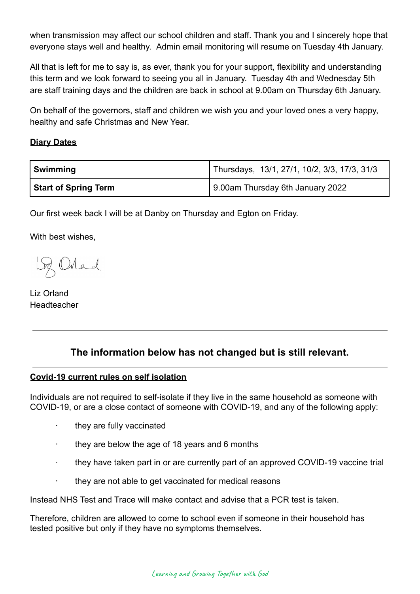when transmission may affect our school children and staff. Thank you and I sincerely hope that everyone stays well and healthy. Admin email monitoring will resume on Tuesday 4th January.

All that is left for me to say is, as ever, thank you for your support, flexibility and understanding this term and we look forward to seeing you all in January. Tuesday 4th and Wednesday 5th are staff training days and the children are back in school at 9.00am on Thursday 6th January.

On behalf of the governors, staff and children we wish you and your loved ones a very happy, healthy and safe Christmas and New Year.

## **Diary Dates**

| Swimming                    | Thursdays, 13/1, 27/1, 10/2, 3/3, 17/3, 31/3 |
|-----------------------------|----------------------------------------------|
| <b>Start of Spring Term</b> | 9.00am Thursday 6th January 2022             |

Our first week back I will be at Danby on Thursday and Egton on Friday.

With best wishes,

Loz Orland

Liz Orland Headteacher

# **The information below has not changed but is still relevant.**

# **Covid-19 current rules on self isolation**

Individuals are not required to self-isolate if they live in the same household as someone with COVID-19, or are a close contact of someone with COVID-19, and any of the following apply:

- · they are fully vaccinated
- they are below the age of 18 years and 6 months
- they have taken part in or are currently part of an approved COVID-19 vaccine trial
- · they are not able to get vaccinated for medical reasons

Instead NHS Test and Trace will make contact and advise that a PCR test is taken.

Therefore, children are allowed to come to school even if someone in their household has tested positive but only if they have no symptoms themselves.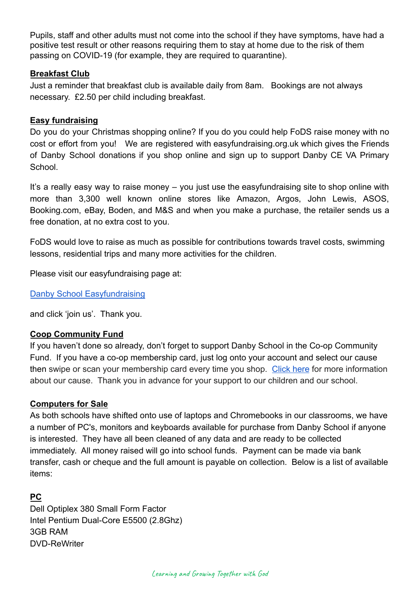Pupils, staff and other adults must not come into the school if they have symptoms, have had a positive test result or other reasons requiring them to stay at home due to the risk of them passing on COVID-19 (for example, they are required to quarantine).

### **Breakfast Club**

Just a reminder that breakfast club is available daily from 8am. Bookings are not always necessary. £2.50 per child including breakfast.

#### **Easy fundraising**

Do you do your Christmas shopping online? If you do you could help FoDS raise money with no cost or effort from you! We are registered with easyfundraising.org.uk which gives the Friends of Danby School donations if you shop online and sign up to support Danby CE VA Primary **School** 

It's a really easy way to raise money – you just use the easyfundraising site to shop online with more than 3,300 well known online stores like Amazon, Argos, John Lewis, ASOS, Booking.com, eBay, Boden, and M&S and when you make a purchase, the retailer sends us a free donation, at no extra cost to you.

FoDS would love to raise as much as possible for contributions towards travel costs, swimming lessons, residential trips and many more activities for the children.

Please visit our easyfundraising page at:

[Danby School Easyfundraising](https://www.easyfundraising.org.uk/causes/danbysch/?q=Danby%20School&cat=cause-autosuggest)

and click 'join us'. Thank you.

## **Coop Community Fund**

If you haven't done so already, don't forget to support Danby School in the Co-op Community Fund. If you have a co-op membership card, just log onto your account and select our cause then swipe or scan your membership card every time you shop. [Click here](https://co-operate.coop.co.uk/groups/danby-church-of-england-primary-school/) for more information about our cause. Thank you in advance for your support to our children and our school.

## **Computers for Sale**

As both schools have shifted onto use of laptops and Chromebooks in our classrooms, we have a number of PC's, monitors and keyboards available for purchase from Danby School if anyone is interested. They have all been cleaned of any data and are ready to be collected immediately. All money raised will go into school funds. Payment can be made via bank transfer, cash or cheque and the full amount is payable on collection. Below is a list of available items:

## **PC**

Dell Optiplex 380 Small Form Factor Intel Pentium Dual-Core E5500 (2.8Ghz) 3GB RAM DVD-ReWriter